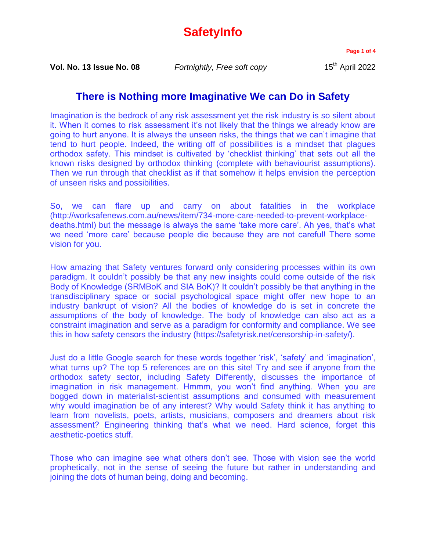## **SafetyInfo**

**Page 1 of 4**

**Vol. No. 13 Issue No. 08** *Fortnightly, Free soft copy* 15<sup>th</sup> April 2022

## **There is Nothing more Imaginative We can Do in Safety**

Imagination is the bedrock of any risk assessment yet the risk industry is so silent about it. When it comes to risk assessment it's not likely that the things we already know are going to hurt anyone. It is always the unseen risks, the things that we can't imagine that tend to hurt people. Indeed, the writing off of possibilities is a mindset that plagues orthodox safety. This mindset is cultivated by 'checklist thinking' that sets out all the known risks designed by orthodox thinking (complete with behaviourist assumptions). Then we run through that checklist as if that somehow it helps envision the perception of unseen risks and possibilities.

So, we can flare up and carry on about fatalities in the workplace (http://worksafenews.com.au/news/item/734-more-care-needed-to-prevent-workplacedeaths.html) but the message is always the same 'take more care'. Ah yes, that's what we need 'more care' because people die because they are not careful! There some vision for you.

How amazing that Safety ventures forward only considering processes within its own paradigm. It couldn't possibly be that any new insights could come outside of the risk Body of Knowledge (SRMBoK and SIA BoK)? It couldn't possibly be that anything in the transdisciplinary space or social psychological space might offer new hope to an industry bankrupt of vision? All the bodies of knowledge do is set in concrete the assumptions of the body of knowledge. The body of knowledge can also act as a constraint imagination and serve as a paradigm for conformity and compliance. We see this in how safety censors the industry (https://safetyrisk.net/censorship-in-safety/).

Just do a little Google search for these words together 'risk', 'safety' and 'imagination', what turns up? The top 5 references are on this site! Try and see if anyone from the orthodox safety sector, including Safety Differently, discusses the importance of imagination in risk management. Hmmm, you won't find anything. When you are bogged down in materialist-scientist assumptions and consumed with measurement why would imagination be of any interest? Why would Safety think it has anything to learn from novelists, poets, artists, musicians, composers and dreamers about risk assessment? Engineering thinking that's what we need. Hard science, forget this aesthetic-poetics stuff.

Those who can imagine see what others don't see. Those with vision see the world prophetically, not in the sense of seeing the future but rather in understanding and joining the dots of human being, doing and becoming.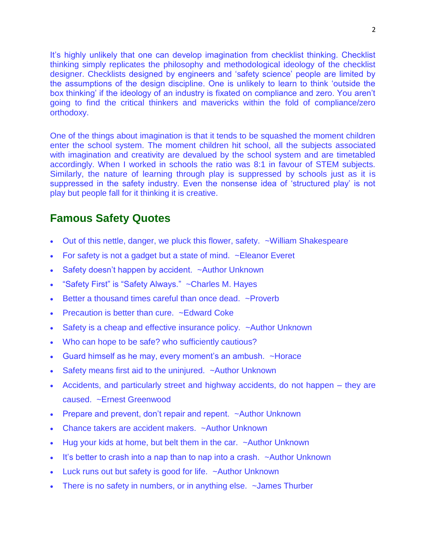It's highly unlikely that one can develop imagination from checklist thinking. Checklist thinking simply replicates the philosophy and methodological ideology of the checklist designer. Checklists designed by engineers and 'safety science' people are limited by the assumptions of the design discipline. One is unlikely to learn to think 'outside the box thinking' if the ideology of an industry is fixated on compliance and zero. You aren't going to find the critical thinkers and mavericks within the fold of compliance/zero orthodoxy.

One of the things about imagination is that it tends to be squashed the moment children enter the school system. The moment children hit school, all the subjects associated with imagination and creativity are devalued by the school system and are timetabled accordingly. When I worked in schools the ratio was 8:1 in favour of STEM subjects. Similarly, the nature of learning through play is suppressed by schools just as it is suppressed in the safety industry. Even the nonsense idea of 'structured play' is not play but people fall for it thinking it is creative.

## **Famous Safety Quotes**

- Out of this nettle, danger, we pluck this flower, safety. ~William Shakespeare
- For safety is not a gadget but a state of mind. ~Eleanor Everet
- Safety doesn't happen by accident. ~Author Unknown
- "Safety First" is "Safety Always." ~Charles M. Hayes
- Better a thousand times careful than once dead. ~Proverb
- Precaution is better than cure. ~Edward Coke
- Safety is a cheap and effective insurance policy. ~Author Unknown
- Who can hope to be safe? who sufficiently cautious?
- Guard himself as he may, every moment's an ambush. ~Horace
- Safety means first aid to the uninjured. ~Author Unknown
- Accidents, and particularly street and highway accidents, do not happen they are caused. ~Ernest Greenwood
- Prepare and prevent, don't repair and repent. ~Author Unknown
- Chance takers are accident makers. ~Author Unknown
- Hug your kids at home, but belt them in the car. ~Author Unknown
- It's better to crash into a nap than to nap into a crash. ~Author Unknown
- Luck runs out but safety is good for life. ~Author Unknown
- There is no safety in numbers, or in anything else. ~James Thurber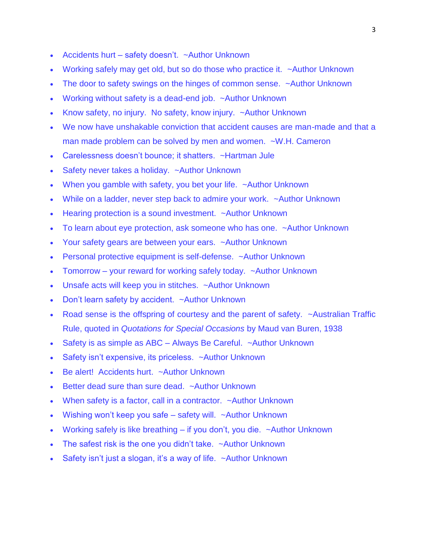- Accidents hurt safety doesn't. ~Author Unknown
- Working safely may get old, but so do those who practice it. ~Author Unknown
- The door to safety swings on the hinges of common sense. ~Author Unknown
- Working without safety is a dead-end job. ~Author Unknown
- Know safety, no injury. No safety, know injury. ~Author Unknown
- We now have unshakable conviction that accident causes are man-made and that a man made problem can be solved by men and women. ~W.H. Cameron
- Carelessness doesn't bounce; it shatters. ~Hartman Jule
- Safety never takes a holiday. ~Author Unknown
- When you gamble with safety, you bet your life. ~Author Unknown
- While on a ladder, never step back to admire your work. ~Author Unknown
- Hearing protection is a sound investment. ~Author Unknown
- To learn about eye protection, ask someone who has one. ~Author Unknown
- Your safety gears are between your ears. ~Author Unknown
- Personal protective equipment is self-defense. ~Author Unknown
- Tomorrow your reward for working safely today. ~Author Unknown
- Unsafe acts will keep you in stitches. ~Author Unknown
- Don't learn safety by accident. ~Author Unknown
- Road sense is the offspring of courtesy and the parent of safety. ~Australian Traffic Rule, quoted in *Quotations for Special Occasions* by Maud van Buren, 1938
- Safety is as simple as  $ABC A$ lways Be Careful.  $\sim$ Author Unknown
- Safety isn't expensive, its priceless. ~Author Unknown
- Be alert! Accidents hurt. ~Author Unknown
- Better dead sure than sure dead. ~Author Unknown
- When safety is a factor, call in a contractor. ~Author Unknown
- Wishing won't keep you safe safety will.  $\sim$  Author Unknown
- Working safely is like breathing  $-$  if you don't, you die.  $\sim$  Author Unknown
- The safest risk is the one you didn't take. ~Author Unknown
- Safety isn't just a slogan, it's a way of life. ~Author Unknown